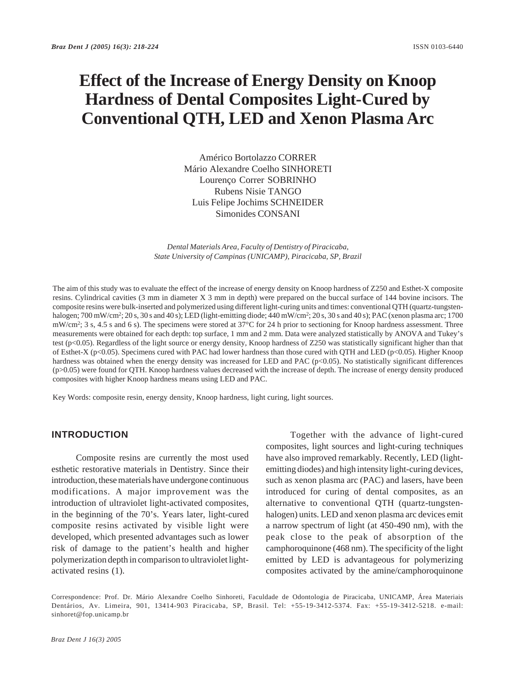# **Effect of the Increase of Energy Density on Knoop Hardness of Dental Composites Light-Cured by Conventional QTH, LED and Xenon Plasma Arc**

Américo Bortolazzo CORRER Mário Alexandre Coelho SINHORETI Lourenço Correr SOBRINHO Rubens Nisie TANGO Luis Felipe Jochims SCHNEIDER Simonides CONSANI

*Dental Materials Area, Faculty of Dentistry of Piracicaba, State University of Campinas (UNICAMP), Piracicaba, SP, Brazil*

The aim of this study was to evaluate the effect of the increase of energy density on Knoop hardness of Z250 and Esthet-X composite resins. Cylindrical cavities (3 mm in diameter X 3 mm in depth) were prepared on the buccal surface of 144 bovine incisors. The composite resins were bulk-inserted and polymerized using different light-curing units and times: conventional QTH (quartz-tungstenhalogen; 700 mW/cm<sup>2</sup>; 20 s, 30 s and 40 s); LED (light-emitting diode; 440 mW/cm<sup>2</sup>; 20 s, 30 s and 40 s); PAC (xenon plasma arc; 1700 mW/cm2; 3 s, 4.5 s and 6 s). The specimens were stored at 37°C for 24 h prior to sectioning for Knoop hardness assessment. Three measurements were obtained for each depth: top surface, 1 mm and 2 mm. Data were analyzed statistically by ANOVA and Tukey's test (p<0.05). Regardless of the light source or energy density, Knoop hardness of Z250 was statistically significant higher than that of Esthet-X ( $p<0.05$ ). Specimens cured with PAC had lower hardness than those cured with OTH and LED ( $p<0.05$ ). Higher Knoop hardness was obtained when the energy density was increased for LED and PAC ( $p<0.05$ ). No statistically significant differences (p>0.05) were found for QTH. Knoop hardness values decreased with the increase of depth. The increase of energy density produced composites with higher Knoop hardness means using LED and PAC.

Key Words: composite resin, energy density, Knoop hardness, light curing, light sources.

## **INTRODUCTION**

Composite resins are currently the most used esthetic restorative materials in Dentistry. Since their introduction, these materials have undergone continuous modifications. A major improvement was the introduction of ultraviolet light-activated composites, in the beginning of the 70's. Years later, light-cured composite resins activated by visible light were developed, which presented advantages such as lower risk of damage to the patient's health and higher polymerization depth in comparison to ultraviolet lightactivated resins (1).

Together with the advance of light-cured composites, light sources and light-curing techniques have also improved remarkably. Recently, LED (lightemitting diodes) and high intensity light-curing devices, such as xenon plasma arc (PAC) and lasers, have been introduced for curing of dental composites, as an alternative to conventional QTH (quartz-tungstenhalogen) units. LED and xenon plasma arc devices emit a narrow spectrum of light (at 450-490 nm), with the peak close to the peak of absorption of the camphoroquinone (468 nm). The specificity of the light emitted by LED is advantageous for polymerizing composites activated by the amine/camphoroquinone

Correspondence: Prof. Dr. Mário Alexandre Coelho Sinhoreti, Faculdade de Odontologia de Piracicaba, UNICAMP, Área Materiais Dentários, Av. Limeira, 901, 13414-903 Piracicaba, SP, Brasil. Tel: +55-19-3412-5374. Fax: +55-19-3412-5218. e-mail: sinhoret@fop.unicamp.br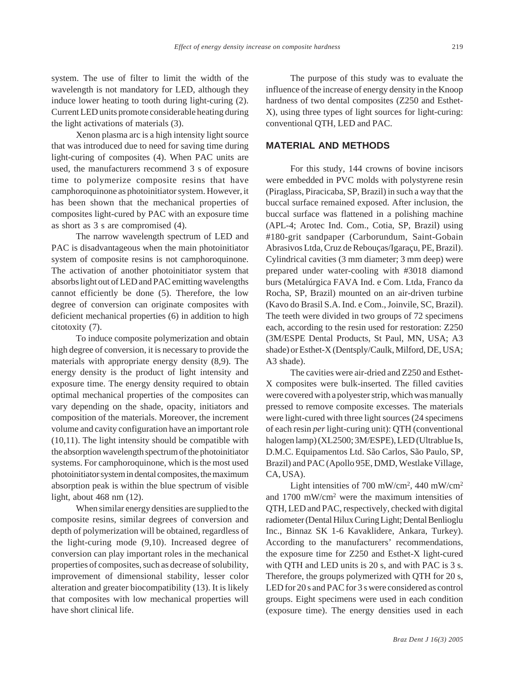system. The use of filter to limit the width of the wavelength is not mandatory for LED, although they induce lower heating to tooth during light-curing (2). Current LED units promote considerable heating during the light activations of materials (3).

Xenon plasma arc is a high intensity light source that was introduced due to need for saving time during light-curing of composites (4). When PAC units are used, the manufacturers recommend 3 s of exposure time to polymerize composite resins that have camphoroquinone as photoinitiator system. However, it has been shown that the mechanical properties of composites light-cured by PAC with an exposure time as short as 3 s are compromised (4).

The narrow wavelength spectrum of LED and PAC is disadvantageous when the main photoinitiator system of composite resins is not camphoroquinone. The activation of another photoinitiator system that absorbs light out of LED and PAC emitting wavelengths cannot efficiently be done (5). Therefore, the low degree of conversion can originate composites with deficient mechanical properties (6) in addition to high citotoxity (7).

To induce composite polymerization and obtain high degree of conversion, it is necessary to provide the materials with appropriate energy density (8,9). The energy density is the product of light intensity and exposure time. The energy density required to obtain optimal mechanical properties of the composites can vary depending on the shade, opacity, initiators and composition of the materials. Moreover, the increment volume and cavity configuration have an important role (10,11). The light intensity should be compatible with the absorption wavelength spectrum of the photoinitiator systems. For camphoroquinone, which is the most used photoinitiator system in dental composites, the maximum absorption peak is within the blue spectrum of visible light, about 468 nm (12).

When similar energy densities are supplied to the composite resins, similar degrees of conversion and depth of polymerization will be obtained, regardless of the light-curing mode (9,10). Increased degree of conversion can play important roles in the mechanical properties of composites, such as decrease of solubility, improvement of dimensional stability, lesser color alteration and greater biocompatibility (13). It is likely that composites with low mechanical properties will have short clinical life.

The purpose of this study was to evaluate the influence of the increase of energy density in the Knoop hardness of two dental composites (Z250 and Esthet-X), using three types of light sources for light-curing: conventional QTH, LED and PAC.

## **MATERIAL AND METHODS**

For this study, 144 crowns of bovine incisors were embedded in PVC molds with polystyrene resin (Piraglass, Piracicaba, SP, Brazil) in such a way that the buccal surface remained exposed. After inclusion, the buccal surface was flattened in a polishing machine (APL-4; Arotec Ind. Com., Cotia, SP, Brazil) using #180-grit sandpaper (Carborundum, Saint-Gobain Abrasivos Ltda, Cruz de Rebouças/Igaraçu, PE, Brazil). Cylindrical cavities (3 mm diameter; 3 mm deep) were prepared under water-cooling with #3018 diamond burs (Metalúrgica FAVA Ind. e Com. Ltda, Franco da Rocha, SP, Brazil) mounted on an air-driven turbine (Kavo do Brasil S.A. Ind. e Com., Joinvile, SC, Brazil). The teeth were divided in two groups of 72 specimens each, according to the resin used for restoration: Z250 (3M/ESPE Dental Products, St Paul, MN, USA; A3 shade) or Esthet-X (Dentsply/Caulk, Milford, DE, USA; A3 shade).

The cavities were air-dried and Z250 and Esthet-X composites were bulk-inserted. The filled cavities were covered with a polyester strip, which was manually pressed to remove composite excesses. The materials were light-cured with three light sources (24 specimens of each resin *per* light-curing unit): QTH (conventional halogen lamp) (XL2500; 3M/ESPE), LED (Ultrablue Is, D.M.C. Equipamentos Ltd. São Carlos, São Paulo, SP, Brazil) and PAC (Apollo 95E, DMD, Westlake Village, CA, USA).

Light intensities of 700 mW/cm2, 440 mW/cm2 and 1700 mW/cm2 were the maximum intensities of QTH, LED and PAC, respectively, checked with digital radiometer (Dental Hilux Curing Light; Dental Benlioglu Inc., Binnaz SK 1-6 Kavaklidere, Ankara, Turkey). According to the manufacturers' recommendations, the exposure time for Z250 and Esthet-X light-cured with QTH and LED units is 20 s, and with PAC is 3 s. Therefore, the groups polymerized with QTH for 20 s, LED for 20 s and PAC for 3 s were considered as control groups. Eight specimens were used in each condition (exposure time). The energy densities used in each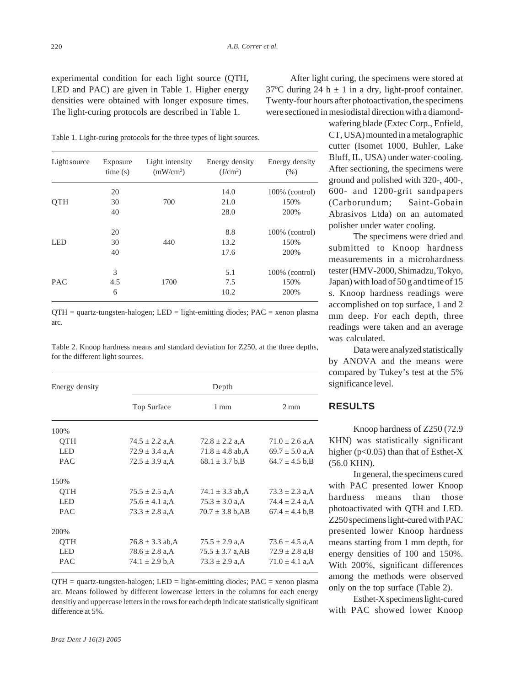experimental condition for each light source (QTH, LED and PAC) are given in Table 1. Higher energy densities were obtained with longer exposure times. The light-curing protocols are described in Table 1.

Table 1. Light-curing protocols for the three types of light sources.

| Light source | Exposure<br>time(s) | Light intensity<br>(mW/cm <sup>2</sup> ) | Energy density<br>(J/cm <sup>2</sup> ) | Energy density<br>(% ) |
|--------------|---------------------|------------------------------------------|----------------------------------------|------------------------|
|              | 20                  |                                          | 14.0                                   | $100\%$ (control)      |
| <b>QTH</b>   | 30                  | 700                                      | 21.0                                   | 150%                   |
|              | 40                  |                                          | 28.0                                   | 200%                   |
|              | 20                  |                                          | 8.8                                    | $100\%$ (control)      |
| <b>LED</b>   | 30                  | 440                                      | 13.2                                   | 150%                   |
|              | 40                  |                                          | 17.6                                   | 200%                   |
|              | 3                   |                                          | 5.1                                    | $100\%$ (control)      |
| <b>PAC</b>   | 4.5                 | 1700                                     | 7.5                                    | 150%                   |
|              | 6                   |                                          | 10.2                                   | 200%                   |

 $QTH =$  quartz-tungsten-halogen; LED = light-emitting diodes; PAC = xenon plasma arc.

Table 2. Knoop hardness means and standard deviation for Z250, at the three depths, for the different light sources.

| Energy density | Depth                |                      |                     |
|----------------|----------------------|----------------------|---------------------|
|                | Top Surface          | $1 \text{ mm}$       | $2 \text{ mm}$      |
| 100\%          |                      |                      |                     |
| 0TH            | $74.5 \pm 2.2$ a.A   | $72.8 \pm 2.2$ a, A  | $71.0 \pm 2.6$ a, A |
| <b>LED</b>     | $72.9 \pm 3.4$ a, A  | $71.8 \pm 4.8$ ab, A | $69.7 \pm 5.0$ a, A |
| PAC            | $72.5 \pm 3.9$ a, A  | $68.1 \pm 3.7$ b,B   | $64.7 \pm 4.5$ b,B  |
| 150\%          |                      |                      |                     |
| 0TH            | $75.5 \pm 2.5$ a, A  | $74.1 \pm 3.3$ ab, A | $73.3 \pm 2.3$ a.A  |
| <b>LED</b>     | $75.6 \pm 4.1$ a, A  | $75.3 \pm 3.0$ a.A   | $74.4 \pm 2.4$ a.A  |
| <b>PAC</b>     | $73.3 \pm 2.8$ a, A  | $70.7 \pm 3.8$ b, AB | $67.4 \pm 4.4$ b,B  |
| 200\%          |                      |                      |                     |
| 0TH            | $76.8 \pm 3.3$ ab, A | $75.5 \pm 2.9$ a.A   | $73.6 \pm 4.5$ a.A  |
| <b>LED</b>     | $78.6 \pm 2.8$ a, A  | $75.5 \pm 3.7$ a, AB | $72.9 \pm 2.8$ a,B  |
| <b>PAC</b>     | $74.1 \pm 2.9$ b.A   | $73.3 \pm 2.9$ a, A  | $71.0 \pm 4.1$ a, A |

QTH = quartz-tungsten-halogen; LED = light-emitting diodes; PAC = xenon plasma arc. Means followed by different lowercase letters in the columns for each energy densitiy and uppercase letters in the rows for each depth indicate statistically significant difference at 5%.

wafering blade (Extec Corp., Enfield, CT, USA) mounted in a metalographic cutter (Isomet 1000, Buhler, Lake Bluff, IL, USA) under water-cooling. After sectioning, the specimens were ground and polished with 320-, 400-, 600- and 1200-grit sandpapers (Carborundum; Saint-Gobain Abrasivos Ltda) on an automated polisher under water cooling.

The specimens were dried and submitted to Knoop hardness measurements in a microhardness tester (HMV-2000, Shimadzu, Tokyo, Japan) with load of 50 g and time of 15 s. Knoop hardness readings were accomplished on top surface, 1 and 2 mm deep. For each depth, three readings were taken and an average was calculated.

Data were analyzed statistically by ANOVA and the means were compared by Tukey's test at the 5% significance level.

#### **RESULTS**

Knoop hardness of Z250 (72.9 KHN) was statistically significant higher (p<0.05) than that of Esthet-X (56.0 KHN).

In general, the specimens cured with PAC presented lower Knoop hardness means than those photoactivated with QTH and LED. Z250 specimens light-cured with PAC presented lower Knoop hardness means starting from 1 mm depth, for energy densities of 100 and 150%. With 200%, significant differences among the methods were observed only on the top surface (Table 2).

Esthet-X specimens light-cured with PAC showed lower Knoop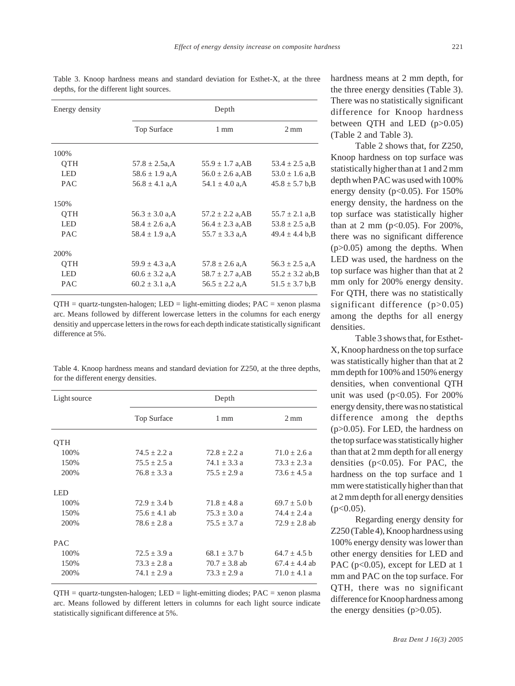| Table 3. Knoop hardness means and standard deviation for Esthet-X, at the three hardness n<br>depths, for the different light sources. |       | the three ei        |
|----------------------------------------------------------------------------------------------------------------------------------------|-------|---------------------|
| Energy density                                                                                                                         | Denth | There was<br>$1:CC$ |

|            | Top Surface         | $1 \text{ mm}$       | $2 \,\mathrm{mm}$    |  |
|------------|---------------------|----------------------|----------------------|--|
| 100\%      |                     |                      |                      |  |
| 0TH        | $57.8 \pm 2.5a$ , A | $55.9 \pm 1.7$ a, AB | 53.4 $\pm$ 2.5 a, B  |  |
| <b>LED</b> | $58.6 \pm 1.9$ a, A | $56.0 \pm 2.6$ a, AB | $53.0 \pm 1.6$ a,B   |  |
| PAC        | $56.8 \pm 4.1$ a, A | 54.1 $\pm$ 4.0 a, A  | $45.8 \pm 5.7$ b,B   |  |
| 150%       |                     |                      |                      |  |
| <b>OTH</b> | $56.3 \pm 3.0$ a, A | $57.2 \pm 2.2$ a, AB | $55.7 \pm 2.1$ a,B   |  |
| <b>LED</b> | 58.4 $\pm$ 2.6 a, A | $56.4 \pm 2.3$ a, AB | $53.8 \pm 2.5$ a,B   |  |
| PAC        | 58.4 $\pm$ 1.9 a, A | 55.7 $\pm$ 3.3 a, A  | $49.4 \pm 4.4$ b,B   |  |
| 200\%      |                     |                      |                      |  |
| <b>OTH</b> | $59.9 \pm 4.3$ a.A  | $57.8 \pm 2.6$ a.A   | $56.3 \pm 2.5$ a, A  |  |
| <b>LED</b> | $60.6 \pm 3.2$ a, A | $58.7 \pm 2.7$ a, AB | $55.2 \pm 3.2$ ab, B |  |
| <b>PAC</b> | $60.2 \pm 3.1$ a, A | $56.5 \pm 2.2$ a.A   | $51.5 \pm 3.7$ b,B   |  |
|            |                     |                      |                      |  |

Energy density

 $QTH =$  quartz-tungsten-halogen; LED = light-emitting diodes;  $PAC =$  xenon plasma arc. Means followed by different lowercase letters in the columns for each energy densitiy and uppercase letters in the rows for each depth indicate statistically significant difference at 5%.

Table 4. Knoop hardness means and standard deviation for Z250, at the three depths, for the different energy densities.

| Light source | Depth              |                   |                   |
|--------------|--------------------|-------------------|-------------------|
|              | <b>Top Surface</b> | $1 \text{ mm}$    | $2 \,\mathrm{mm}$ |
| 0TH          |                    |                   |                   |
| 100%         | $74.5 + 2.2 a$     | $72.8 + 2.2 a$    | $71.0 + 2.6$ a    |
| 150%         | $75.5 \pm 2.5$ a   | 74.1 $\pm$ 3.3 a  | $73.3 \pm 2.3$ a  |
| 200%         | $76.8 + 3.3 a$     | $75.5 \pm 2.9 a$  | $73.6 + 4.5 a$    |
| <b>LED</b>   |                    |                   |                   |
| 100%         | $72.9 \pm 3.4 b$   | $71.8 + 4.8$ a    | $69.7 \pm 5.0$ b  |
| 150%         | $75.6 \pm 4.1$ ab  | $75.3 \pm 3.0 a$  | $74.4 + 2.4 a$    |
| 200%         | $78.6 \pm 2.8$ a   | $75.5 \pm 3.7 a$  | $72.9 \pm 2.8$ ab |
| <b>PAC</b>   |                    |                   |                   |
| 100%         | $72.5 \pm 3.9$ a   | $68.1 \pm 3.7 b$  | $64.7 \pm 4.5$ b  |
| 150%         | $73.3 \pm 2.8$ a   | $70.7 \pm 3.8$ ab | $67.4 \pm 4.4$ ab |
| 200%         | 74.1 $\pm$ 2.9 a   | $73.3 \pm 2.9 a$  | $71.0 \pm 4.1 a$  |

QTH = quartz-tungsten-halogen; LED = light-emitting diodes; PAC = xenon plasma arc. Means followed by different letters in columns for each light source indicate statistically significant difference at 5%.

hard at 2 mm depth, for nergy densities (Table 3). no statistically significant difference for Knoop hardness between OTH and LED  $(p>0.05)$ (Table 2 and Table 3).

Table 2 shows that, for Z250, Knoop hardness on top surface was statistically higher than at 1 and 2 mm depth when PAC was used with 100% energy density ( $p<0.05$ ). For 150% energy density, the hardness on the top surface was statistically higher than at 2 mm ( $p<0.05$ ). For 200%, there was no significant difference (p>0.05) among the depths. When LED was used, the hardness on the top surface was higher than that at 2 mm only for 200% energy density. For QTH, there was no statistically significant difference (p>0.05) among the depths for all energy densities.

Table 3 shows that, for Esthet-X, Knoop hardness on the top surface was statistically higher than that at 2 mm depth for 100% and 150% energy densities, when conventional QTH unit was used  $(p<0.05)$ . For 200% energy density, there was no statistical difference among the depths (p>0.05). For LED, the hardness on the top surface was statistically higher than that at 2 mm depth for all energy densities (p<0.05). For PAC, the hardness on the top surface and 1 mm were statistically higher than that at 2 mm depth for all energy densities  $(p<0.05)$ .

Regarding energy density for Z250 (Table 4), Knoop hardness using 100% energy density was lower than other energy densities for LED and PAC (p<0.05), except for LED at 1 mm and PAC on the top surface. For QTH, there was no significant difference for Knoop hardness among the energy densities  $(p>0.05)$ .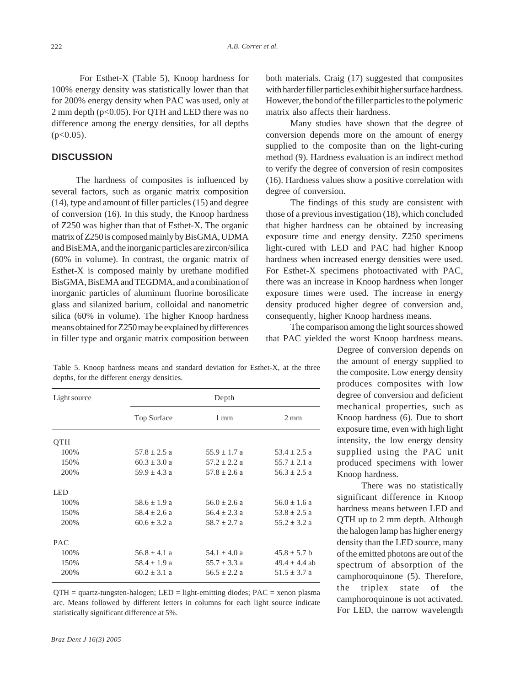For Esthet-X (Table 5), Knoop hardness for 100% energy density was statistically lower than that for 200% energy density when PAC was used, only at 2 mm depth (p<0.05). For QTH and LED there was no difference among the energy densities, for all depths  $(p<0.05)$ .

#### **DISCUSSION**

The hardness of composites is influenced by several factors, such as organic matrix composition (14), type and amount of filler particles (15) and degree of conversion (16). In this study, the Knoop hardness of Z250 was higher than that of Esthet-X. The organic matrix of Z250 is composed mainly by BisGMA, UDMA and BisEMA, and the inorganic particles are zircon/silica (60% in volume). In contrast, the organic matrix of Esthet-X is composed mainly by urethane modified BisGMA, BisEMA and TEGDMA, and a combination of inorganic particles of aluminum fluorine borosilicate glass and silanized barium, colloidal and nanometric silica (60% in volume). The higher Knoop hardness means obtained for Z250 may be explained by differences in filler type and organic matrix composition between both materials. Craig (17) suggested that composites with harder filler particles exhibit higher surface hardness. However, the bond of the filler particles to the polymeric matrix also affects their hardness.

Many studies have shown that the degree of conversion depends more on the amount of energy supplied to the composite than on the light-curing method (9). Hardness evaluation is an indirect method to verify the degree of conversion of resin composites (16). Hardness values show a positive correlation with degree of conversion.

The findings of this study are consistent with those of a previous investigation (18), which concluded that higher hardness can be obtained by increasing exposure time and energy density. Z250 specimens light-cured with LED and PAC had higher Knoop hardness when increased energy densities were used. For Esthet-X specimens photoactivated with PAC, there was an increase in Knoop hardness when longer exposure times were used. The increase in energy density produced higher degree of conversion and, consequently, higher Knoop hardness means.

The comparison among the light sources showed that PAC yielded the worst Knoop hardness means.

> Degree of conversion depends on the amount of energy supplied to the composite. Low energy density produces composites with low degree of conversion and deficient mechanical properties, such as Knoop hardness (6). Due to short exposure time, even with high light intensity, the low energy density supplied using the PAC unit produced specimens with lower Knoop hardness.

> There was no statistically significant difference in Knoop hardness means between LED and QTH up to 2 mm depth. Although the halogen lamp has higher energy density than the LED source, many of the emitted photons are out of the spectrum of absorption of the camphoroquinone (5). Therefore, the triplex state of the camphoroquinone is not activated. For LED, the narrow wavelength

Table 5. Knoop hardness means and standard deviation for Esthet-X, at the three depths, for the different energy densities.

| Light source | Depth            |                  |                   |
|--------------|------------------|------------------|-------------------|
|              | Top Surface      | $1 \text{ mm}$   | $2 \,\mathrm{mm}$ |
| <b>OTH</b>   |                  |                  |                   |
| 100%         | $57.8 \pm 2.5$ a | $55.9 \pm 1.7$ a | $53.4 + 2.5$ a    |
| 150%         | $60.3 + 3.0 a$   | $57.2 + 2.2$ a   | $55.7 + 2.1$ a    |
| 200%         | $59.9 \pm 4.3$ a | $57.8 \pm 2.6$ a | $56.3 \pm 2.5$ a  |
| <b>LED</b>   |                  |                  |                   |
| 100%         | $58.6 + 1.9 a$   | $56.0 + 2.6$ a   | $56.0 + 1.6$ a    |
| 150%         | $58.4 + 2.6$ a   | $56.4 \pm 2.3$ a | $53.8 \pm 2.5$ a  |
| 200\%        | $60.6 + 3.2 a$   | $58.7 + 2.7$ a   | $55.2 + 3.2$ a    |
| <b>PAC</b>   |                  |                  |                   |
| 100%         | $56.8 + 4.1$ a   | $54.1 + 4.0 a$   | $45.8 + 5.7$ h    |
| 150%         | $58.4 \pm 1.9 a$ | $55.7 \pm 3.3$ a | $49.4 + 4.4$ ab   |
| 200%         | $60.2 + 3.1$ a   | $56.5 + 2.2 a$   | $51.5 + 3.7 a$    |

 $QTH =$  quartz-tungsten-halogen; LED = light-emitting diodes; PAC = xenon plasma arc. Means followed by different letters in columns for each light source indicate statistically significant difference at 5%.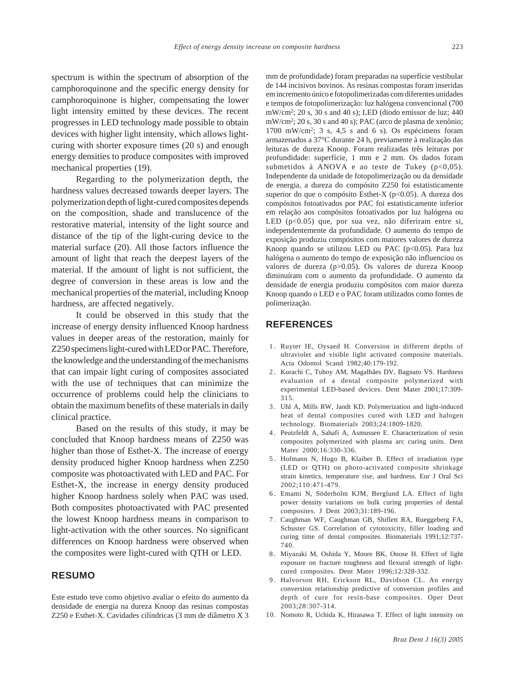spectrum is within the spectrum of absorption of the camphoroquinone and the specific energy density for camphoroquinone is higher, compensating the lower light intensity emitted by these devices. The recent progresses in LED technology made possible to obtain devices with higher light intensity, which allows lightcuring with shorter exposure times (20 s) and enough energy densities to produce composites with improved mechanical properties (19).

Regarding to the polymerization depth, the hardness values decreased towards deeper layers. The polymerization depth of light-cured composites depends on the composition, shade and translucence of the restorative material, intensity of the light source and distance of the tip of the light-curing device to the material surface (20). All those factors influence the amount of light that reach the deepest layers of the material. If the amount of light is not sufficient, the degree of conversion in these areas is low and the mechanical properties of the material, including Knoop hardness, are affected negatively.

It could be observed in this study that the increase of energy density influenced Knoop hardness values in deeper areas of the restoration, mainly for Z250 specimens light-cured with LED or PAC. Therefore, the knowledge and the understanding of the mechanisms that can impair light curing of composites associated with the use of techniques that can minimize the occurrence of problems could help the clinicians to obtain the maximum benefits of these materials in daily clinical practice.

Based on the results of this study, it may be concluded that Knoop hardness means of Z250 was higher than those of Esthet-X. The increase of energy density produced higher Knoop hardness when Z250 composite was photoactivated with LED and PAC. For Esthet-X, the increase in energy density produced higher Knoop hardness solely when PAC was used. Both composites photoactivated with PAC presented the lowest Knoop hardness means in comparison to light-activation with the other sources. No significant differences on Knoop hardness were observed when the composites were light-cured with QTH or LED.

# **RESUMO**

Este estudo teve como objetivo avaliar o efeito do aumento da densidade de energia na dureza Knoop das resinas compostas Z250 e Esthet-X. Cavidades cilíndricas (3 mm de diâmetro X 3 mm de profundidade) foram preparadas na superfície vestibular de 144 incisivos bovinos. As resinas compostas foram inseridas em incremento único e fotopolimerizadas com diferentes unidades e tempos de fotopolimerização: luz halógena convencional (700 mW/cm2; 20 s, 30 s and 40 s); LED (diodo emissor de luz; 440 mW/cm2; 20 s, 30 s and 40 s); PAC (arco de plasma de xenônio; 1700 mW/cm2; 3 s, 4,5 s and 6 s). Os espécimens foram armazenados a 37°C durante 24 h, previamente à realização das leituras de dureza Knoop. Foram realizadas três leituras por profundidade: superfície, 1 mm e 2 mm. Os dados foram submetidos à ANOVA e ao teste de Tukey  $(p<0.05)$ . Independente da unidade de fotopolimerização ou da densidade de energia, a dureza do compósito Z250 foi estatisticamente superior do que o compósito Esthet-X (p<0.05). A dureza dos compósitos fotoativados por PAC foi estatisticamente inferior em relação aos compósitos fotoativados por luz halógena ou LED (p<0.05) que, por sua vez, não diferiram entre si, independentemente da profundidade. O aumento do tempo de exposição produziu compósitos com maiores valores de dureza Knoop quando se utilizou LED ou PAC (p<0.05). Para luz halógena o aumento do tempo de exposição não influenciou os valores de dureza (p>0.05). Os valores de dureza Knoop diminuíram com o aumento da profundidade. O aumento da densidade de energia produziu compósitos com maior dureza Knoop quando o LED e o PAC foram utilizados como fontes de polimerização.

#### **REFERENCES**

- 1. Ruyter IE, Oysaed H. Conversion in different depths of ultraviolet and visible light activated composite materials. Acta Odontol Scand 1982;40:179-192.
- 2 . Kurachi C, Tuboy AM, Magalhães DV, Bagnato VS. Hardness evaluation of a dental composite polymerized with experimental LED-based devices. Dent Mater 2001;17:309- 315.
- 3 . Uhl A, Mills RW, Jandt KD. Polymerization and light-induced heat of dental composites cured with LED and halogen technology. Biomaterials 2003;24:1809-1820.
- 4 . Peutzfeldt A, Sahafi A, Asmussen E. Characterization of resin composites polymerized with plasma arc curing units. Dent Mater 2000;16:330-336.
- 5 . Hofmann N, Hugo B, Klaiber B. Effect of irradiation type (LED or QTH) on photo-activated composite shrinkage strain kinetics, temperature rise, and hardness. Eur J Oral Sci 2002;110:471-479.
- 6 . Emami N, Söderholm KJM, Berglund LA. Effect of light power density variations on bulk curing properties of dental composites. J Dent 2003;31:189-196.
- 7 . Caughman WF, Caughman GB, Shiflett RA, Rueggeberg FA, Schuster GS. Correlation of cytotoxicity, filler loading and curing time of dental composites. Biomaterials 1991;12:737- 740.
- 8 . Miyazaki M, Oshida Y, Moore BK, Onose H. Effect of light exposure on fracture toughness and flexural strength of lightcured composites. Dent Mater 1996;12:328-332.
- 9. Halvorson RH, Erickson RL, Davidson CL. An energy conversion relationship predictive of conversion profiles and depth of cure for resin-base composites. Oper Dent 2003;28:307-314.
- 10. Nomoto R, Uchida K, Hirasawa T. Effect of light intensity on